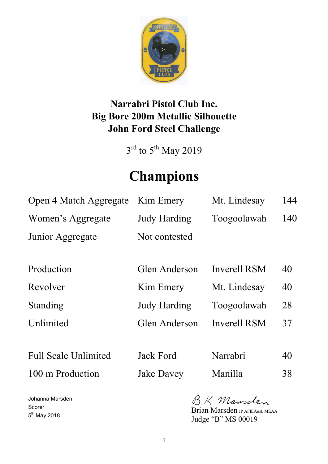

# **Narrabri Pistol Club Inc. Big Bore 200m Metallic Silhouette John Ford Steel Challenge**

 $3<sup>rd</sup>$  to  $5<sup>th</sup>$  May 2019

# **Champions**

| Open 4 Match Aggregate      | Kim Emery           | Mt. Lindesay | 144 |
|-----------------------------|---------------------|--------------|-----|
| Women's Aggregate           | <b>Judy Harding</b> | Toogoolawah  | 140 |
| Junior Aggregate            | Not contested       |              |     |
|                             |                     |              |     |
| Production                  | Glen Anderson       | Inverell RSM | 40  |
| Revolver                    | Kim Emery           | Mt. Lindesay | 40  |
| Standing                    | <b>Judy Harding</b> | Toogoolawah  | 28  |
| Unlimited                   | Glen Anderson       | Inverell RSM | 37  |
|                             |                     |              |     |
| <b>Full Scale Unlimited</b> | Jack Ford           | Narrabri     | 40  |

100 m Production Jake Davey Manilla 38

BK Mansclen

Brian Marsden JP AFIEAust. MEAA Judge "B" MS 00019

Johanna Marsden Scorer 5<sup>th</sup> May 2018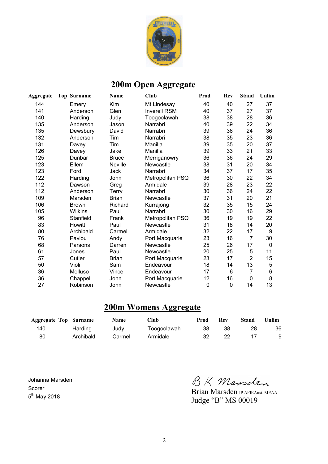

## **200m Open Aggregate**

| <b>Aggregate</b> | Top Surname  | Name         | Club                | Prod        | <b>Rev</b>  | <b>Stand</b>   | Unlim    |
|------------------|--------------|--------------|---------------------|-------------|-------------|----------------|----------|
| 144              | Emery        | Kim          | Mt Lindesay         | 40          | 40          | 27             | 37       |
| 141              | Anderson     | Glen         | <b>Inverell RSM</b> | 40          | 37          | 27             | 37       |
| 140              | Harding      | Judy         | Toogoolawah         | 38          | 38          | 28             | 36       |
| 135              | Anderson     | Jason        | Narrabri            | 40          | 39          | 22             | 34       |
| 135              | Dewsbury     | David        | Narrabri            | 39          | 36          | 24             | 36       |
| 132              | Anderson     | Tim          | Narrabri            | 38          | 35          | 23             | 36       |
| 131              | Davey        | Tim          | Manilla             | 39          | 35          | 20             | 37       |
| 126              | Davey        | Jake         | Manilla             | 39          | 33          | 21             | 33       |
| 125              | Dunbar       | <b>Bruce</b> | Merriganowry        | 36          | 36          | 24             | 29       |
| 123              | Ellem        | Neville      | Newcastle           | 38          | 31          | 20             | 34       |
| 123              | Ford         | Jack         | Narrabri            | 34          | 37          | 17             | 35       |
| 122              | Harding      | John         | Metropolitan PSQ    | 36          | 30          | 22             | 34       |
| 112              | Dawson       | Greg         | Armidale            | 39          | 28          | 23             | 22       |
| 112              | Anderson     | <b>Terry</b> | Narrabri            | 30          | 36          | 24             | 22       |
| 109              | Marsden      | <b>Brian</b> | Newcastle           | 37          | 31          | 20             | 21       |
| 106              | <b>Brown</b> | Richard      | Kurrajong           | 32          | 35          | 15             | 24       |
| 105              | Wilkins      | Paul         | Narrabri            | 30          | 30          | 16             | 29       |
| 96               | Stanfield    | Frank        | Metropolitan PSQ    | 36          | 19          | 19             | 22       |
| 83               | Howitt       | Paul         | Newcastle           | 31          | 18          | 14             | 20       |
| 80               | Archibald    | Carmel       | Armidale            | 32          | 22          | 17             | 9        |
| 76               | Pavlou       | Andy         | Port Macquarie      | 23          | 16          | $\overline{7}$ | 30       |
| 68               | Parsons      | Darren       | Newcastle           | 25          | 26          | 17             | $\Omega$ |
| 61               | Jones        | Paul         | Newcastle           | 20          | 25          | 5              | 11       |
| 57               | Cutler       | <b>Brian</b> | Port Macquarie      | 23          | 17          | $\overline{2}$ | 15       |
| 50               | Violi        | Sam          | Endeavour           | 18          | 14          | 13             | 5        |
| 36               | Molluso      | Vince        | Endeavour           | 17          | 6           | $\overline{7}$ | 6        |
| 36               | Chappell     | John         | Port Macquarie      | 12          | 16          | $\mathbf{0}$   | 8        |
| 27               | Robinson     | John         | Newcastle           | $\mathbf 0$ | $\mathbf 0$ | 14             | 13       |

#### **200m Womens Aggregate**

| <b>Aggregate Top Surname</b> |           | <b>Name</b> | Club        | Prod | Rev | Stand | Unlim |
|------------------------------|-----------|-------------|-------------|------|-----|-------|-------|
| 140                          | Harding   | Judv        | Toogoolawah | 38   | 38  |       | 36    |
| 80                           | Archibald | Carmel      | Armidale    |      | 22  |       | 9     |

Johanna Marsden Scorer 5<sup>th</sup> May 2018

BK Mansden

Brian Marsden JP AFIEAust. MEAA Judge "B" MS 00019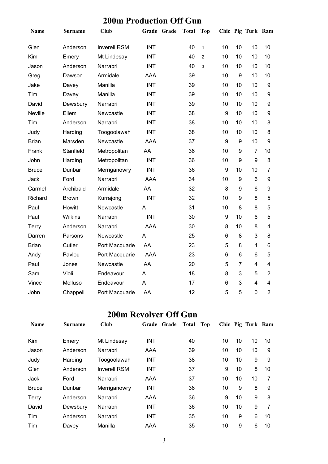|                |                | vill 1 Touuction Onl |             |              |                |                  |                 |                   |                  |
|----------------|----------------|----------------------|-------------|--------------|----------------|------------------|-----------------|-------------------|------------------|
| Name           | <b>Surname</b> | <b>Club</b>          | Grade Grade | <b>Total</b> | <b>Top</b>     |                  |                 | Chic Pig Turk Ram |                  |
| Glen           | Anderson       | <b>Inverell RSM</b>  | <b>INT</b>  | 40           | $\mathbf{1}$   | 10               | 10              | 10                | 10               |
| Kim            | Emery          | Mt Lindesay          | <b>INT</b>  | 40           | $\overline{2}$ | 10               | 10              | 10                | 10               |
| Jason          | Anderson       | Narrabri             | <b>INT</b>  | 40           | 3              | 10               | 10              | 10                | 10               |
| Greg           | Dawson         | Armidale             | <b>AAA</b>  | 39           |                | 10               | 9               | 10                | 10               |
| Jake           | Davey          | Manilla              | <b>INT</b>  | 39           |                | 10               | 10              | 10                | $\boldsymbol{9}$ |
| Tim            | Davey          | Manilla              | <b>INT</b>  | 39           |                | 10               | 10              | 10                | 9                |
| David          | Dewsbury       | Narrabri             | <b>INT</b>  | 39           |                | 10               | 10              | 10                | 9                |
| <b>Neville</b> | Ellem          | Newcastle            | <b>INT</b>  | 38           |                | $\boldsymbol{9}$ | 10              | 10                | 9                |
| Tim            | Anderson       | Narrabri             | <b>INT</b>  | 38           |                | 10               | 10              | 10                | 8                |
| Judy           | Harding        | Toogoolawah          | <b>INT</b>  | 38           |                | 10               | 10              | 10                | 8                |
| <b>Brian</b>   | Marsden        | Newcastle            | <b>AAA</b>  | 37           |                | 9                | 9               | 10                | 9                |
| Frank          | Stanfield      | Metropolitan         | AA          | 36           |                | 10               | 9               | $\overline{7}$    | 10               |
| John           | Harding        | Metropolitan         | <b>INT</b>  | 36           |                | 10               | 9               | 9                 | 8                |
| <b>Bruce</b>   | Dunbar         | Merriganowry         | <b>INT</b>  | 36           |                | $\boldsymbol{9}$ | 10              | 10                | $\overline{7}$   |
| Jack           | Ford           | Narrabri             | <b>AAA</b>  | 34           |                | 10               | 9               | $6\phantom{1}$    | 9                |
| Carmel         | Archibald      | Armidale             | AA          | 32           |                | 8                | 9               | 6                 | 9                |
| Richard        | <b>Brown</b>   | Kurrajong            | <b>INT</b>  | 32           |                | 10               | 9               | 8                 | 5                |
| Paul           | Howitt         | Newcastle            | A           | 31           |                | 10               | 8               | 8                 | 5                |
| Paul           | <b>Wilkins</b> | Narrabri             | <b>INT</b>  | 30           |                | $\boldsymbol{9}$ | 10              | 6                 | 5                |
| Terry          | Anderson       | Narrabri             | <b>AAA</b>  | 30           |                | 8                | 10              | 8                 | 4                |
| Darren         | Parsons        | Newcastle            | A           | 25           |                | 6                | 8               | 3                 | 8                |
| <b>Brian</b>   | Cutler         | Port Macquarie       | AA          | 23           |                | 5                | 8               | $\overline{4}$    | 6                |
| Andy           | Pavlou         | Port Macquarie       | <b>AAA</b>  | 23           |                | 6                | $6\phantom{1}6$ | 6                 | 5                |
| Paul           | Jones          | Newcastle            | AA          | 20           |                | 5                | $\overline{7}$  | $\overline{4}$    | $\overline{4}$   |
| Sam            | Violi          | Endeavour            | A           | 18           |                | 8                | 3               | 5                 | $\overline{2}$   |
| Vince          | Molluso        | Endeavour            | A           | 17           |                | 6                | 3               | $\overline{4}$    | 4                |
| John           | Chappell       | Port Macquarie       | AA          | 12           |                | 5                | 5               | $\overline{0}$    | $\overline{2}$   |

#### **200m Production Off Gun**

#### **200m Revolver Off Gun**

| <b>Name</b>  | Surname  | Club                | Grade Grade | Total | Top |    | Chic Pig Turk Ram |    |
|--------------|----------|---------------------|-------------|-------|-----|----|-------------------|----|
| Kim          | Emery    | Mt Lindesay         | <b>INT</b>  | 40    | 10  | 10 | 10                | 10 |
| Jason        | Anderson | Narrabri            | AAA         | 39    | 10  | 10 | 10                | 9  |
| Judy         | Harding  | Toogoolawah         | <b>INT</b>  | 38    | 10  | 10 | 9                 | 9  |
| Glen         | Anderson | <b>Inverell RSM</b> | <b>INT</b>  | 37    | 9   | 10 | 8                 | 10 |
| Jack         | Ford     | Narrabri            | AAA         | 37    | 10  | 10 | 10                | 7  |
| <b>Bruce</b> | Dunbar   | Merriganowry        | <b>INT</b>  | 36    | 10  | 9  | 8                 | 9  |
| Terry        | Anderson | Narrabri            | AAA         | 36    | 9   | 10 | 9                 | 8  |
| David        | Dewsbury | Narrabri            | <b>INT</b>  | 36    | 10  | 10 | 9                 | 7  |
| Tim          | Anderson | Narrabri            | <b>INT</b>  | 35    | 10  | 9  | 6                 | 10 |
| Tim          | Davey    | Manilla             | AAA         | 35    | 10  | 9  | 6                 | 10 |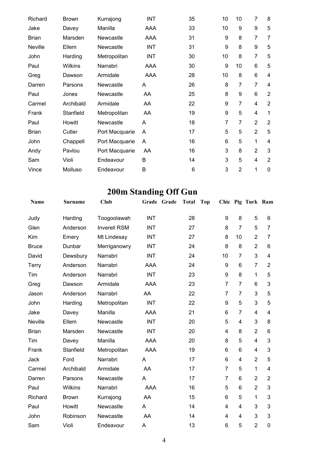| Richard      | <b>Brown</b> | Kurrajong      | <b>INT</b> | 35 | 10 | 10             | $\overline{7}$ | 8              |
|--------------|--------------|----------------|------------|----|----|----------------|----------------|----------------|
| Jake         | Davey        | Manilla        | AAA        | 33 | 10 | 9              | 9              | 5              |
| <b>Brian</b> | Marsden      | Newcastle      | AAA        | 31 | 9  | 8              | $\overline{7}$ | $\overline{7}$ |
| Neville      | Ellem        | Newcastle      | <b>INT</b> | 31 | 9  | 8              | 9              | 5              |
| John         | Harding      | Metropolitan   | <b>INT</b> | 30 | 10 | 8              | $\overline{7}$ | 5              |
| Paul         | Wilkins      | Narrabri       | AAA        | 30 | 9  | 10             | $6\phantom{1}$ | 5              |
| Greg         | Dawson       | Armidale       | AAA        | 28 | 10 | 8              | 6              | 4              |
| Darren       | Parsons      | Newcastle      | A          | 26 | 8  | $\overline{7}$ | $\overline{7}$ | 4              |
| Paul         | Jones        | Newcastle      | AA         | 25 | 8  | 9              | 6              | $\overline{2}$ |
| Carmel       | Archibald    | Armidale       | AA         | 22 | 9  | $\overline{7}$ | 4              | $\overline{2}$ |
| Frank        | Stanfield    | Metropolitan   | AA         | 19 | 9  | 5              | 4              | 1              |
| Paul         | Howitt       | Newcastle      | A          | 18 | 7  | 7              | $\overline{2}$ | $\overline{2}$ |
| <b>Brian</b> | Cutler       | Port Macquarie | A          | 17 | 5  | 5              | $\overline{2}$ | 5              |
| John         | Chappell     | Port Macquarie | A          | 16 | 6  | 5              | 1              | 4              |
| Andy         | Pavlou       | Port Macquarie | AA         | 16 | 3  | 8              | $\overline{2}$ | 3              |
| Sam          | Violi        | Endeavour      | B          | 14 | 3  | 5              | 4              | $\overline{2}$ |
| Vince        | Molluso      | Endeavour      | B          | 6  | 3  | $\overline{2}$ | 1              | $\mathbf{0}$   |

# **200m Standing Off Gun**

| Name         | Surname      | Club                | Grade Grade | <b>Total</b> | <b>Top</b>     |                 | Chic Pig Turk Ram       |                |
|--------------|--------------|---------------------|-------------|--------------|----------------|-----------------|-------------------------|----------------|
| Judy         | Harding      | Toogoolawah         | <b>INT</b>  | 28           | 9              | 8               | 5                       | 6              |
| Glen         | Anderson     | <b>Inverell RSM</b> | <b>INT</b>  | 27           | 8              | $\overline{7}$  | 5                       | 7              |
| Kim          | Emery        | Mt Lindesay         | <b>INT</b>  | 27           | 8              | 10              | $\overline{2}$          | 7              |
| <b>Bruce</b> | Dunbar       | Merriganowry        | <b>INT</b>  | 24           | 8              | 8               | $\overline{2}$          | 6              |
| David        | Dewsbury     | Narrabri            | <b>INT</b>  | 24           | 10             | $\overline{7}$  | 3                       | 4              |
| Terry        | Anderson     | Narrabri            | <b>AAA</b>  | 24           | 9              | 6               | $\overline{7}$          | $\overline{2}$ |
| Tim          | Anderson     | Narrabri            | <b>INT</b>  | 23           | 9              | 8               | 1                       | 5              |
| Greg         | Dawson       | Armidale            | AAA         | 23           | $\overline{7}$ | $\overline{7}$  | 6                       | 3              |
| Jason        | Anderson     | Narrabri            | AA          | 22           | $\overline{7}$ | $\overline{7}$  | 3                       | 5              |
| John         | Harding      | Metropolitan        | <b>INT</b>  | 22           | 9              | 5               | 3                       | 5              |
| Jake         | Davey        | Manilla             | AAA         | 21           | 6              | $\overline{7}$  | $\overline{\mathbf{4}}$ | 4              |
| Neville      | Ellem        | Newcastle           | <b>INT</b>  | 20           | 5              | 4               | 3                       | 8              |
| <b>Brian</b> | Marsden      | Newcastle           | <b>INT</b>  | 20           | 4              | 8               | $\overline{2}$          | 6              |
| Tim          | Davey        | Manilla             | <b>AAA</b>  | 20           | 8              | 5               | $\overline{\mathbf{4}}$ | 3              |
| Frank        | Stanfield    | Metropolitan        | <b>AAA</b>  | 19           | 6              | $6\phantom{1}6$ | $\overline{4}$          | 3              |
| Jack         | Ford         | Narrabri            | A           | 17           | 6              | $\overline{4}$  | $\overline{2}$          | 5              |
| Carmel       | Archibald    | Armidale            | AA          | 17           | $\overline{7}$ | 5               | 1                       | 4              |
| Darren       | Parsons      | Newcastle           | A           | 17           | $\overline{7}$ | $6\phantom{1}6$ | $\overline{2}$          | $\overline{2}$ |
| Paul         | Wilkins      | Narrabri            | <b>AAA</b>  | 16           | 5              | $6\phantom{1}6$ | $\overline{2}$          | 3              |
| Richard      | <b>Brown</b> | Kurrajong           | AA          | 15           | 6              | 5               | 1                       | 3              |
| Paul         | Howitt       | Newcastle           | A           | 14           | 4              | $\overline{4}$  | 3                       | 3              |
| John         | Robinson     | Newcastle           | AA          | 14           | 4              | 4               | 3                       | 3              |
| Sam          | Violi        | Endeavour           | Α           | 13           | 6              | 5               | $\overline{2}$          | 0              |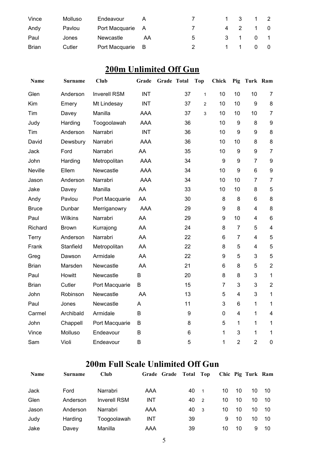| Vince        | Molluso | Endeavour        |     |    |     | - 3 |          |  |
|--------------|---------|------------------|-----|----|-----|-----|----------|--|
| Andy         | Pavlou  | Port Macquarie A |     |    | 4 2 |     | 1 0      |  |
| Paul         | Jones   | Newcastle        | AA  | .5 | 3 1 |     | $\Omega$ |  |
| <b>Brian</b> | Cutler  | Port Macquarie   | - B |    |     |     |          |  |

## **200m Unlimited Off Gun**

| Name         | Surname        | <b>Club</b>         | Grade      | Grade Total |    | <b>Top</b>     | <b>Chick</b>     | Pig              | Turk Ram                |                         |
|--------------|----------------|---------------------|------------|-------------|----|----------------|------------------|------------------|-------------------------|-------------------------|
| Glen         | Anderson       | <b>Inverell RSM</b> | <b>INT</b> |             | 37 | $\mathbf{1}$   | 10               | 10               | 10                      | $\overline{7}$          |
| Kim          | Emery          | Mt Lindesay         | <b>INT</b> |             | 37 | $\overline{c}$ | 10               | 10               | 9                       | $\bf 8$                 |
| Tim          | Davey          | Manilla             | <b>AAA</b> |             | 37 | 3              | 10               | 10               | 10                      | $\overline{7}$          |
| Judy         | Harding        | Toogoolawah         | <b>AAA</b> |             | 36 |                | 10               | $\boldsymbol{9}$ | 8                       | $\boldsymbol{9}$        |
| Tim          | Anderson       | Narrabri            | <b>INT</b> |             | 36 |                | 10               | 9                | 9                       | 8                       |
| David        | Dewsbury       | Narrabri            | <b>AAA</b> |             | 36 |                | 10               | 10               | 8                       | 8                       |
| Jack         | Ford           | Narrabri            | AA         |             | 35 |                | 10               | $\boldsymbol{9}$ | $\boldsymbol{9}$        | $\overline{7}$          |
| John         | Harding        | Metropolitan        | <b>AAA</b> |             | 34 |                | 9                | 9                | $\overline{7}$          | 9                       |
| Neville      | Ellem          | Newcastle           | <b>AAA</b> |             | 34 |                | 10               | $\boldsymbol{9}$ | $6\phantom{1}$          | $\boldsymbol{9}$        |
| Jason        | Anderson       | Narrabri            | <b>AAA</b> |             | 34 |                | 10               | 10               | $\overline{7}$          | $\overline{7}$          |
| Jake         | Davey          | Manilla             | AA         |             | 33 |                | 10               | 10               | 8                       | 5                       |
| Andy         | Pavlou         | Port Macquarie      | AA         |             | 30 |                | 8                | 8                | 6                       | $\bf 8$                 |
| <b>Bruce</b> | Dunbar         | Merriganowry        | <b>AAA</b> |             | 29 |                | 9                | 8                | $\overline{4}$          | 8                       |
| Paul         | <b>Wilkins</b> | Narrabri            | AA         |             | 29 |                | $\boldsymbol{9}$ | 10               | $\overline{\mathbf{4}}$ | $\,6$                   |
| Richard      | <b>Brown</b>   | Kurrajong           | AA         |             | 24 |                | 8                | $\overline{7}$   | 5                       | $\overline{\mathbf{4}}$ |
| Terry        | Anderson       | Narrabri            | AA         |             | 22 |                | 6                | $\overline{7}$   | $\overline{4}$          | 5                       |
| Frank        | Stanfield      | Metropolitan        | AA         |             | 22 |                | 8                | 5                | $\overline{4}$          | 5                       |
| Greg         | Dawson         | Armidale            | AA         |             | 22 |                | 9                | 5                | 3                       | 5                       |
| <b>Brian</b> | Marsden        | Newcastle           | AA         |             | 21 |                | $6\phantom{1}6$  | 8                | 5                       | $\boldsymbol{2}$        |
| Paul         | Howitt         | Newcastle           | B          |             | 20 |                | 8                | 8                | 3                       | $\mathbf{1}$            |
| <b>Brian</b> | Cutler         | Port Macquarie      | B          |             | 15 |                | $\overline{7}$   | 3                | 3                       | $\sqrt{2}$              |
| John         | Robinson       | Newcastle           | AA         |             | 13 |                | 5                | 4                | 3                       | $\mathbf 1$             |
| Paul         | Jones          | Newcastle           | Α          |             | 11 |                | 3                | 6                | 1                       | $\mathbf{1}$            |
| Carmel       | Archibald      | Armidale            | B          |             | 9  |                | 0                | 4                | 1                       | $\overline{4}$          |
| John         | Chappell       | Port Macquarie      | B          |             | 8  |                | 5                | $\mathbf{1}$     | 1                       | $\mathbf{1}$            |
| Vince        | Molluso        | Endeavour           | B          |             | 6  |                | 1                | 3                | 1                       | $\mathbf 1$             |
| Sam          | Violi          | Endeavour           | B          |             | 5  |                | 1                | $\overline{2}$   | $\overline{2}$          | $\mathbf 0$             |

#### **200m Full Scale Unlimited Off Gun**

| <b>Name</b> | <b>Surname</b> | Club                | Grade Grade Total Top |    |                |    |    | Chic Pig Turk Ram |      |
|-------------|----------------|---------------------|-----------------------|----|----------------|----|----|-------------------|------|
| Jack        | Ford           | Narrabri            | AAA                   | 40 | -1             | 10 | 10 | 10                | - 10 |
| Glen        | Anderson       | <b>Inverell RSM</b> | <b>INT</b>            | 40 | $\overline{2}$ | 10 | 10 | 10                | -10  |
| Jason       | Anderson       | Narrabri            | AAA                   | 40 | - 3            | 10 | 10 | 10                | -10  |
| Judy        | Harding        | Toogoolawah         | <b>INT</b>            | 39 |                | 9  | 10 | 10                | 10   |
| Jake        | Davey          | Manilla             | AAA                   | 39 |                | 10 | 10 | 9                 | 10   |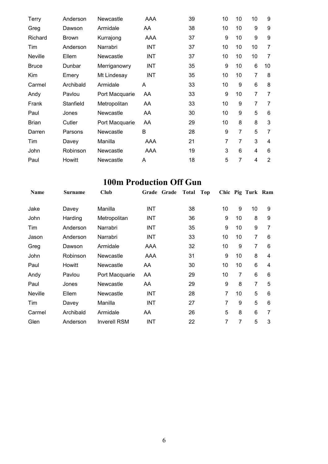| Terry          | Anderson     | Newcastle      | AAA        | 39 | 10             | 10             | 10             | 9              |
|----------------|--------------|----------------|------------|----|----------------|----------------|----------------|----------------|
| Greg           | Dawson       | Armidale       | AA         | 38 | 10             | 10             | 9              | 9              |
| Richard        | <b>Brown</b> | Kurrajong      | AAA        | 37 | 9              | 10             | 9              | 9              |
| Tim            | Anderson     | Narrabri       | <b>INT</b> | 37 | 10             | 10             | 10             | $\overline{7}$ |
| <b>Neville</b> | Ellem        | Newcastle      | <b>INT</b> | 37 | 10             | 10             | 10             | $\overline{7}$ |
| <b>Bruce</b>   | Dunbar       | Merriganowry   | <b>INT</b> | 35 | 9              | 10             | 6              | 10             |
| Kim            | Emery        | Mt Lindesay    | <b>INT</b> | 35 | 10             | 10             | 7              | 8              |
| Carmel         | Archibald    | Armidale       | A          | 33 | 10             | 9              | 6              | 8              |
| Andy           | Pavlou       | Port Macquarie | AA         | 33 | 9              | 10             | $\overline{7}$ | $\overline{7}$ |
| Frank          | Stanfield    | Metropolitan   | AA         | 33 | 10             | 9              | $\overline{7}$ | $\overline{7}$ |
| Paul           | Jones        | Newcastle      | AA         | 30 | 10             | 9              | 5              | 6              |
| <b>Brian</b>   | Cutler       | Port Macquarie | AA         | 29 | 10             | 8              | 8              | 3              |
| Darren         | Parsons      | Newcastle      | B          | 28 | 9              | $\overline{7}$ | 5              | $\overline{7}$ |
| Tim            | Davey        | Manilla        | AAA        | 21 | $\overline{7}$ | $\overline{7}$ | 3              | 4              |
| John           | Robinson     | Newcastle      | AAA        | 19 | 3              | 6              | 4              | 6              |
| Paul           | Howitt       | Newcastle      | A          | 18 | 5              | 7              | 4              | $\overline{2}$ |

## **100m Production Off Gun**

| <b>Name</b> | <b>Surname</b> | Club                |            | Grade Grade | Total | Top |    |                | Chic Pig Turk Ram |   |
|-------------|----------------|---------------------|------------|-------------|-------|-----|----|----------------|-------------------|---|
| Jake        | Davey          | Manilla             | <b>INT</b> |             | 38    |     | 10 | 9              | 10                | 9 |
| John        | Harding        | Metropolitan        | <b>INT</b> |             | 36    |     | 9  | 10             | 8                 | 9 |
| Tim         | Anderson       | Narrabri            | <b>INT</b> |             | 35    |     | 9  | 10             | 9                 | 7 |
| Jason       | Anderson       | Narrabri            | <b>INT</b> |             | 33    |     | 10 | 10             | 7                 | 6 |
| Greg        | Dawson         | Armidale            | AAA        |             | 32    |     | 10 | 9              | 7                 | 6 |
| John        | Robinson       | Newcastle           | AAA        |             | 31    |     | 9  | 10             | 8                 | 4 |
| Paul        | Howitt         | Newcastle           | AA         |             | 30    |     | 10 | 10             | 6                 | 4 |
| Andy        | Pavlou         | Port Macquarie      | AA         |             | 29    |     | 10 | 7              | 6                 | 6 |
| Paul        | Jones          | Newcastle           | AA         |             | 29    |     | 9  | 8              | 7                 | 5 |
| Neville     | Ellem          | Newcastle           | <b>INT</b> |             | 28    |     | 7  | 10             | 5                 | 6 |
| Tim         | Davey          | Manilla             | <b>INT</b> |             | 27    |     | 7  | 9              | 5                 | 6 |
| Carmel      | Archibald      | Armidale            | AA         |             | 26    |     | 5  | 8              | 6                 | 7 |
| Glen        | Anderson       | <b>Inverell RSM</b> | <b>INT</b> |             | 22    |     | 7  | $\overline{7}$ | 5                 | 3 |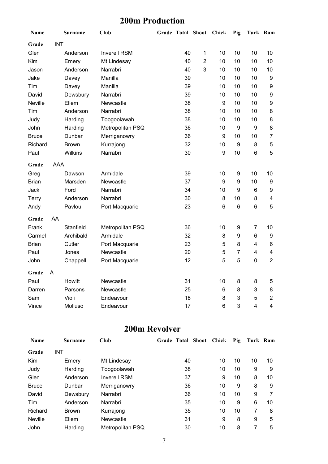#### **200m Production**

| Name           |            | <b>Surname</b> | <b>Club</b>         | <b>Grade Total Shoot</b> |    |                | Chick | Pig              | Turk Ram                |                |
|----------------|------------|----------------|---------------------|--------------------------|----|----------------|-------|------------------|-------------------------|----------------|
| Grade          | <b>INT</b> |                |                     |                          |    |                |       |                  |                         |                |
| Glen           |            | Anderson       | <b>Inverell RSM</b> |                          | 40 | 1              | 10    | 10               | 10                      | 10             |
| Kim            |            | Emery          | Mt Lindesay         |                          | 40 | $\overline{2}$ | 10    | 10               | 10                      | 10             |
| Jason          |            | Anderson       | Narrabri            |                          | 40 | 3              | 10    | 10               | 10                      | 10             |
| Jake           |            | Davey          | Manilla             |                          | 39 |                | 10    | 10               | 10                      | 9              |
| Tim            |            | Davey          | Manilla             |                          | 39 |                | 10    | 10               | 10                      | 9              |
| David          |            | Dewsbury       | Narrabri            |                          | 39 |                | 10    | 10               | 10                      | 9              |
| <b>Neville</b> |            | Ellem          | Newcastle           |                          | 38 |                | 9     | 10               | 10                      | 9              |
| Tim            |            | Anderson       | Narrabri            |                          | 38 |                | 10    | 10               | 10                      | 8              |
| Judy           |            | Harding        | Toogoolawah         |                          | 38 |                | 10    | 10               | 10                      | 8              |
| John           |            | Harding        | Metropolitan PSQ    |                          | 36 |                | 10    | 9                | 9                       | 8              |
| <b>Bruce</b>   |            | Dunbar         | Merriganowry        |                          | 36 |                | 9     | 10               | 10                      | $\overline{7}$ |
| Richard        |            | <b>Brown</b>   | Kurrajong           |                          | 32 |                | 10    | $\boldsymbol{9}$ | 8                       | 5              |
| Paul           |            | Wilkins        | Narrabri            |                          | 30 |                | 9     | 10               | $\,6$                   | 5              |
| Grade          | <b>AAA</b> |                |                     |                          |    |                |       |                  |                         |                |
| Greg           |            | Dawson         | Armidale            |                          | 39 |                | 10    | 9                | 10                      | 10             |
| <b>Brian</b>   |            | Marsden        | Newcastle           |                          | 37 |                | 9     | 9                | 10                      | 9              |
| Jack           |            | Ford           | Narrabri            |                          | 34 |                | 10    | 9                | $\,6$                   | 9              |
| Terry          |            | Anderson       | Narrabri            |                          | 30 |                | 8     | 10               | 8                       | 4              |
| Andy           |            | Pavlou         | Port Macquarie      |                          | 23 |                | 6     | 6                | 6                       | 5              |
| Grade          | AA         |                |                     |                          |    |                |       |                  |                         |                |
| Frank          |            | Stanfield      | Metropolitan PSQ    |                          | 36 |                | 10    | 9                | $\overline{7}$          | 10             |
| Carmel         |            | Archibald      | Armidale            |                          | 32 |                | 8     | 9                | 6                       | 9              |
| <b>Brian</b>   |            | Cutler         | Port Macquarie      |                          | 23 |                | 5     | 8                | $\overline{4}$          | 6              |
| Paul           |            | Jones          | Newcastle           |                          | 20 |                | 5     | $\overline{7}$   | $\overline{\mathbf{4}}$ | 4              |
| John           |            | Chappell       | Port Macquarie      |                          | 12 |                | 5     | 5                | $\pmb{0}$               | $\overline{2}$ |
| Grade          | A          |                |                     |                          |    |                |       |                  |                         |                |
| Paul           |            | Howitt         | Newcastle           |                          | 31 |                | 10    | 8                | 8                       | 5              |
| Darren         |            | Parsons        | Newcastle           |                          | 25 |                | 6     | 8                | $\mathbf{3}$            | 8              |
| Sam            |            | Violi          | Endeavour           |                          | 18 |                | 8     | 3                | 5                       | $\overline{2}$ |
| Vince          |            | Molluso        | Endeavour           |                          | 17 |                | 6     | 3                | $\overline{4}$          | 4              |

#### **200m Revolver**

| <b>Name</b>    | Surname      | Club                | Grade Total Shoot | Chick | Pig | Turk Ram |    |
|----------------|--------------|---------------------|-------------------|-------|-----|----------|----|
| Grade          | <b>INT</b>   |                     |                   |       |     |          |    |
| Kim            | Emery        | Mt Lindesay         | 40                | 10    | 10  | 10       | 10 |
| Judy           | Harding      | Toogoolawah         | 38                | 10    | 10  | 9        | 9  |
| Glen           | Anderson     | <b>Inverell RSM</b> | 37                | 9     | 10  | 8        | 10 |
| <b>Bruce</b>   | Dunbar       | Merriganowry        | 36                | 10    | 9   | 8        | 9  |
| David          | Dewsbury     | Narrabri            | 36                | 10    | 10  | 9        |    |
| Tim            | Anderson     | Narrabri            | 35                | 10    | 9   | 6        | 10 |
| Richard        | <b>Brown</b> | Kurrajong           | 35                | 10    | 10  | 7        | 8  |
| <b>Neville</b> | Ellem        | Newcastle           | 31                | 9     | 8   | 9        | 5  |
| John           | Harding      | Metropolitan PSQ    | 30                | 10    | 8   | 7        | 5  |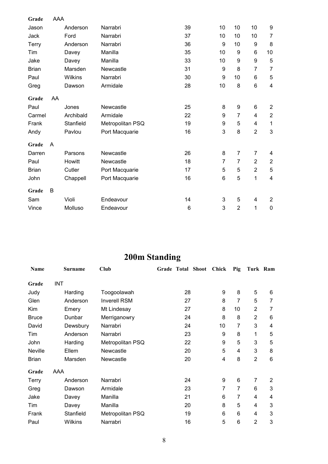| Grade        | <b>AAA</b> |           |                  |    |                |                |                  |                         |
|--------------|------------|-----------|------------------|----|----------------|----------------|------------------|-------------------------|
| Jason        |            | Anderson  | Narrabri         | 39 | 10             | 10             | 10               | 9                       |
| Jack         |            | Ford      | Narrabri         | 37 | 10             | 10             | 10               | $\overline{7}$          |
| Terry        |            | Anderson  | Narrabri         | 36 | 9              | 10             | 9                | 8                       |
| Tim          |            | Davey     | Manilla          | 35 | 10             | 9              | $\,6$            | 10                      |
| Jake         |            | Davey     | Manilla          | 33 | 10             | 9              | $\boldsymbol{9}$ | 5                       |
| <b>Brian</b> |            | Marsden   | Newcastle        | 31 | 9              | 8              | $\overline{7}$   | $\overline{7}$          |
| Paul         |            | Wilkins   | Narrabri         | 30 | 9              | 10             | 6                | 5                       |
| Greg         |            | Dawson    | Armidale         | 28 | 10             | 8              | $6\phantom{1}$   | $\overline{\mathbf{4}}$ |
| Grade        | AA         |           |                  |    |                |                |                  |                         |
| Paul         |            | Jones     | Newcastle        | 25 | 8              | 9              | 6                | $\overline{2}$          |
| Carmel       |            | Archibald | Armidale         | 22 | 9              | $\overline{7}$ | $\overline{4}$   | $\overline{2}$          |
| Frank        |            | Stanfield | Metropolitan PSQ | 19 | 9              | 5              | 4                | 1                       |
| Andy         |            | Pavlou    | Port Macquarie   | 16 | 3              | 8              | $\overline{2}$   | $\mathbf{3}$            |
| Grade        | Α          |           |                  |    |                |                |                  |                         |
| Darren       |            | Parsons   | Newcastle        | 26 | 8              | $\overline{7}$ | $\overline{7}$   | 4                       |
| Paul         |            | Howitt    | Newcastle        | 18 | $\overline{7}$ | $\overline{7}$ | $\overline{2}$   | $\sqrt{2}$              |
| <b>Brian</b> |            | Cutler    | Port Macquarie   | 17 | 5              | 5              | $\overline{2}$   | 5                       |
| John         |            | Chappell  | Port Macquarie   | 16 | 6              | 5              | 1                | $\overline{4}$          |
| Grade        | B          |           |                  |    |                |                |                  |                         |
| Sam          |            | Violi     | Endeavour        | 14 | 3              | 5              | 4                | $\overline{2}$          |
| Vince        |            | Molluso   | Endeavour        | 6  | 3              | $\overline{2}$ | 1                | $\boldsymbol{0}$        |

# **200m Standing**

| Name         | Surname    | Club                |    | Grade Total Shoot | <b>Chick</b> | Pig            | Turk Ram       |                |
|--------------|------------|---------------------|----|-------------------|--------------|----------------|----------------|----------------|
| Grade        | <b>INT</b> |                     |    |                   |              |                |                |                |
| Judy         | Harding    | Toogoolawah         | 28 |                   | 9            | 8              | 5              | 6              |
| Glen         | Anderson   | <b>Inverell RSM</b> | 27 |                   | 8            | $\overline{7}$ | 5              | $\overline{7}$ |
| Kim          | Emery      | Mt Lindesay         | 27 |                   | 8            | 10             | $\overline{2}$ | 7              |
| <b>Bruce</b> | Dunbar     | Merriganowry        | 24 |                   | 8            | 8              | $\overline{2}$ | 6              |
| David        | Dewsbury   | Narrabri            | 24 |                   | 10           | 7              | 3              | 4              |
| Tim          | Anderson   | Narrabri            | 23 |                   | 9            | 8              | 1              | 5              |
| John         | Harding    | Metropolitan PSQ    | 22 |                   | 9            | 5              | 3              | 5              |
| Neville      | Ellem      | Newcastle           | 20 |                   | 5            | 4              | 3              | 8              |
| <b>Brian</b> | Marsden    | Newcastle           | 20 |                   | 4            | 8              | $\overline{2}$ | 6              |
| Grade        | AAA        |                     |    |                   |              |                |                |                |
| <b>Terry</b> | Anderson   | Narrabri            | 24 |                   | 9            | 6              | $\overline{7}$ | 2              |
| Greg         | Dawson     | Armidale            | 23 |                   | 7            | $\overline{7}$ | 6              | 3              |
| Jake         | Davey      | Manilla             | 21 |                   | 6            | 7              | 4              | 4              |
| Tim          | Davey      | Manilla             | 20 |                   | 8            | 5              | 4              | 3              |
| Frank        | Stanfield  | Metropolitan PSQ    | 19 |                   | 6            | 6              | 4              | 3              |
| Paul         | Wilkins    | Narrabri            | 16 |                   | 5            | 6              | $\overline{2}$ | 3              |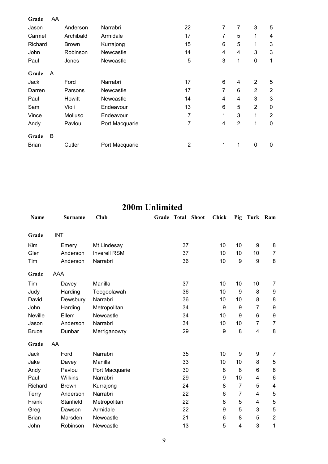| Grade        | AA |              |                |    |   |                |                |                |
|--------------|----|--------------|----------------|----|---|----------------|----------------|----------------|
| Jason        |    | Anderson     | Narrabri       | 22 | 7 | 7              | 3              | 5              |
| Carmel       |    | Archibald    | Armidale       | 17 | 7 | 5              | 1              | 4              |
| Richard      |    | <b>Brown</b> | Kurrajong      | 15 | 6 | 5              | 1              | 3              |
| John         |    | Robinson     | Newcastle      | 14 | 4 | 4              | 3              | 3              |
| Paul         |    | Jones        | Newcastle      | 5  | 3 | 1              | 0              | 1              |
| Grade        | A  |              |                |    |   |                |                |                |
| Jack         |    | Ford         | Narrabri       | 17 | 6 | 4              | $\overline{2}$ | 5              |
| Darren       |    | Parsons      | Newcastle      | 17 | 7 | 6              | $\overline{2}$ | $\overline{2}$ |
| Paul         |    | Howitt       | Newcastle      | 14 | 4 | 4              | 3              | 3              |
| Sam          |    | Violi        | Endeavour      | 13 | 6 | 5              | $\overline{2}$ | 0              |
| Vince        |    | Molluso      | Endeavour      | 7  | 1 | 3              | 1              | $\overline{2}$ |
| Andy         |    | Pavlou       | Port Macquarie | 7  | 4 | $\overline{2}$ | $\mathbf{1}$   | 0              |
| Grade        | B  |              |                |    |   |                |                |                |
| <b>Brian</b> |    | Cutler       | Port Macquarie | 2  | 1 | 1              | 0              | 0              |

## **200m Unlimited**

| Name         |            | <b>Surname</b> | <b>Club</b>         | Grade | Total | <b>Shoot</b> | <b>Chick</b> | Pig              | Turk Ram         |                  |
|--------------|------------|----------------|---------------------|-------|-------|--------------|--------------|------------------|------------------|------------------|
| Grade        | <b>INT</b> |                |                     |       |       |              |              |                  |                  |                  |
| Kim          |            | Emery          | Mt Lindesay         |       | 37    |              | 10           | 10               | 9                | 8                |
| Glen         |            | Anderson       | <b>Inverell RSM</b> |       | 37    |              | 10           | 10               | 10               | $\overline{7}$   |
| Tim          |            | Anderson       | Narrabri            |       | 36    |              | 10           | $\boldsymbol{9}$ | $\boldsymbol{9}$ | 8                |
| Grade        | AAA        |                |                     |       |       |              |              |                  |                  |                  |
| Tim          |            | Davey          | Manilla             |       | 37    |              | 10           | 10               | 10               | $\overline{7}$   |
| Judy         |            | Harding        | Toogoolawah         |       | 36    |              | 10           | 9                | 8                | 9                |
| David        |            | Dewsbury       | Narrabri            |       | 36    |              | 10           | 10               | 8                | 8                |
| John         |            | Harding        | Metropolitan        |       | 34    |              | 9            | 9                | $\overline{7}$   | 9                |
| Neville      |            | Ellem          | Newcastle           |       | 34    |              | 10           | 9                | $6\phantom{1}$   | $\boldsymbol{9}$ |
| Jason        |            | Anderson       | Narrabri            |       | 34    |              | 10           | 10               | 7                | $\overline{7}$   |
| <b>Bruce</b> |            | Dunbar         | Merriganowry        |       | 29    |              | 9            | 8                | 4                | 8                |
| Grade        | AA         |                |                     |       |       |              |              |                  |                  |                  |
| Jack         |            | Ford           | Narrabri            |       | 35    |              | 10           | 9                | 9                | 7                |
| Jake         |            | Davey          | Manilla             |       | 33    |              | 10           | 10               | 8                | 5                |
| Andy         |            | Pavlou         | Port Macquarie      |       | 30    |              | 8            | 8                | 6                | 8                |
| Paul         |            | Wilkins        | Narrabri            |       | 29    |              | 9            | 10               | 4                | 6                |
| Richard      |            | <b>Brown</b>   | Kurrajong           |       | 24    |              | 8            | $\overline{7}$   | 5                | 4                |
| Terry        |            | Anderson       | Narrabri            |       | 22    |              | 6            | $\overline{7}$   | 4                | $\mathbf 5$      |
| Frank        |            | Stanfield      | Metropolitan        |       | 22    |              | 8            | 5                | 4                | 5                |
| Greg         |            | Dawson         | Armidale            |       | 22    |              | 9            | 5                | 3                | $\mathbf 5$      |
| <b>Brian</b> |            | Marsden        | Newcastle           |       | 21    |              | 6            | 8                | 5                | $\overline{2}$   |
| John         |            | Robinson       | Newcastle           |       | 13    |              | 5            | 4                | 3                | 1                |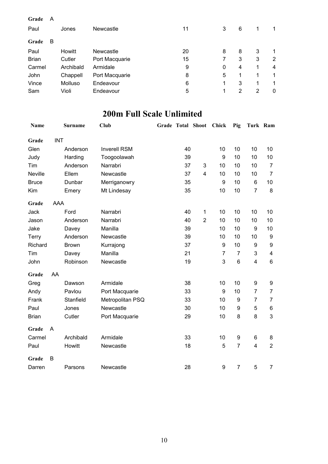| Grade<br>Paul | A | Jones     | <b>Newcastle</b> | 11 | 3 | 6              | 1              |   |
|---------------|---|-----------|------------------|----|---|----------------|----------------|---|
| Grade         | в |           |                  |    |   |                |                |   |
| Paul          |   | Howitt    | Newcastle        | 20 | 8 | 8              | 3              | 1 |
| <b>Brian</b>  |   | Cutler    | Port Macquarie   | 15 |   | 3              | 3              | 2 |
| Carmel        |   | Archibald | Armidale         | 9  | 0 | 4              | 1              | 4 |
| John          |   | Chappell  | Port Macquarie   | 8  | 5 | 1              | 1              | 1 |
| Vince         |   | Molluso   | Endeavour        | 6  | 1 | 3              | 1              | 1 |
| Sam           |   | Violi     | Endeavour        | 5  | 1 | $\overline{2}$ | $\overline{2}$ | 0 |

#### **200m Full Scale Unlimited**

| Name         |            | <b>Surname</b> | Club                | Grade Total Shoot |                | Chick            | Pig            | Turk Ram                |                         |
|--------------|------------|----------------|---------------------|-------------------|----------------|------------------|----------------|-------------------------|-------------------------|
| Grade        | <b>INT</b> |                |                     |                   |                |                  |                |                         |                         |
| Glen         |            | Anderson       | <b>Inverell RSM</b> | 40                |                | 10               | 10             | 10                      | 10                      |
| Judy         |            | Harding        | Toogoolawah         | 39                |                | 9                | 10             | 10                      | 10                      |
| Tim          |            | Anderson       | Narrabri            | 37                | 3              | 10               | 10             | 10                      | $\overline{7}$          |
| Neville      |            | Ellem          | Newcastle           | 37                | 4              | 10               | 10             | 10                      | $\overline{7}$          |
| <b>Bruce</b> |            | Dunbar         | Merriganowry        | 35                |                | $\boldsymbol{9}$ | 10             | 6                       | 10                      |
| Kim          |            | Emery          | Mt Lindesay         | 35                |                | 10               | 10             | $\overline{7}$          | 8                       |
| Grade        | <b>AAA</b> |                |                     |                   |                |                  |                |                         |                         |
| Jack         |            | Ford           | Narrabri            | 40                | 1              | 10               | 10             | 10                      | 10                      |
| Jason        |            | Anderson       | Narrabri            | 40                | $\overline{2}$ | 10               | 10             | 10                      | 10                      |
| Jake         |            | Davey          | Manilla             | 39                |                | 10               | 10             | $\boldsymbol{9}$        | 10                      |
| Terry        |            | Anderson       | Newcastle           | 39                |                | 10               | 10             | 10                      | 9                       |
| Richard      |            | <b>Brown</b>   | Kurrajong           | 37                |                | $\boldsymbol{9}$ | 10             | $\boldsymbol{9}$        | $\boldsymbol{9}$        |
| Tim          |            | Davey          | Manilla             | 21                |                | 7                | $\overline{7}$ | 3                       | $\overline{\mathbf{4}}$ |
| John         |            | Robinson       | Newcastle           | 19                |                | 3                | 6              | $\overline{\mathbf{4}}$ | $6\phantom{1}$          |
| Grade        | AA         |                |                     |                   |                |                  |                |                         |                         |
| Greg         |            | Dawson         | Armidale            | 38                |                | 10               | 10             | 9                       | 9                       |
| Andy         |            | Pavlou         | Port Macquarie      | 33                |                | 9                | 10             | $\overline{7}$          | $\overline{7}$          |
| Frank        |            | Stanfield      | Metropolitan PSQ    | 33                |                | 10               | 9              | $\overline{7}$          | $\overline{7}$          |
| Paul         |            | Jones          | Newcastle           | 30                |                | 10               | 9              | 5                       | 6                       |
| <b>Brian</b> |            | Cutler         | Port Macquarie      | 29                |                | 10               | 8              | 8                       | 3                       |
| Grade        | A          |                |                     |                   |                |                  |                |                         |                         |
| Carmel       |            | Archibald      | Armidale            | 33                |                | 10               | 9              | 6                       | 8                       |
| Paul         |            | Howitt         | Newcastle           | 18                |                | 5                | $\overline{7}$ | $\overline{4}$          | $\overline{2}$          |
| Grade        | B          |                |                     |                   |                |                  |                |                         |                         |
| Darren       |            | Parsons        | Newcastle           | 28                |                | 9                | $\overline{7}$ | 5                       | $\overline{7}$          |